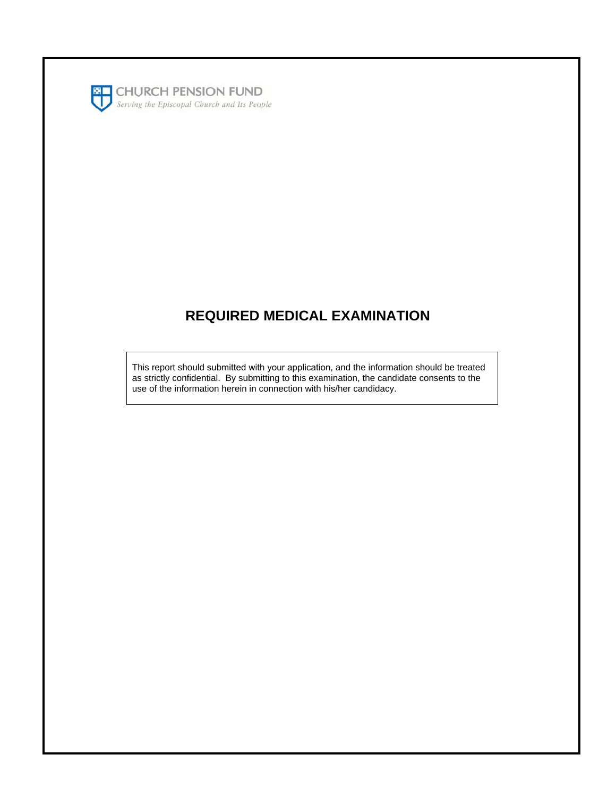

## **REQUIRED MEDICAL EXAMINATION**

This report should submitted with your application, and the information should be treated as strictly confidential. By submitting to this examination, the candidate consents to the use of the information herein in connection with his/her candidacy.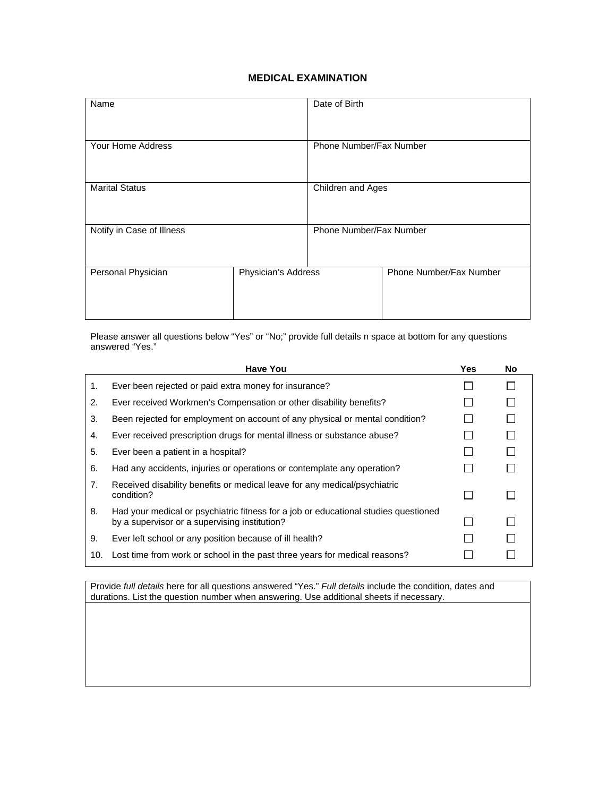## **MEDICAL EXAMINATION**

| Name                      |                     | Date of Birth           |                         |  |
|---------------------------|---------------------|-------------------------|-------------------------|--|
| Your Home Address         |                     | Phone Number/Fax Number |                         |  |
| <b>Marital Status</b>     |                     | Children and Ages       |                         |  |
| Notify in Case of Illness |                     | Phone Number/Fax Number |                         |  |
| Personal Physician        | Physician's Address |                         | Phone Number/Fax Number |  |

Please answer all questions below "Yes" or "No;" provide full details n space at bottom for any questions answered "Yes."

| <b>Have You</b>                                                                                                                      | Yes. | <b>No</b> |
|--------------------------------------------------------------------------------------------------------------------------------------|------|-----------|
| Ever been rejected or paid extra money for insurance?                                                                                |      |           |
| Ever received Workmen's Compensation or other disability benefits?                                                                   |      |           |
| Been rejected for employment on account of any physical or mental condition?                                                         |      |           |
| Ever received prescription drugs for mental illness or substance abuse?                                                              |      |           |
| Ever been a patient in a hospital?                                                                                                   |      |           |
| Had any accidents, injuries or operations or contemplate any operation?                                                              |      |           |
| Received disability benefits or medical leave for any medical/psychiatric<br>condition?                                              |      |           |
| Had your medical or psychiatric fitness for a job or educational studies questioned<br>by a supervisor or a supervising institution? |      |           |
| Ever left school or any position because of ill health?                                                                              |      |           |
| Lost time from work or school in the past three years for medical reasons?                                                           |      |           |
|                                                                                                                                      |      |           |

Provide *full details* here for all questions answered "Yes." *Full details* include the condition, dates and durations. List the question number when answering. Use additional sheets if necessary.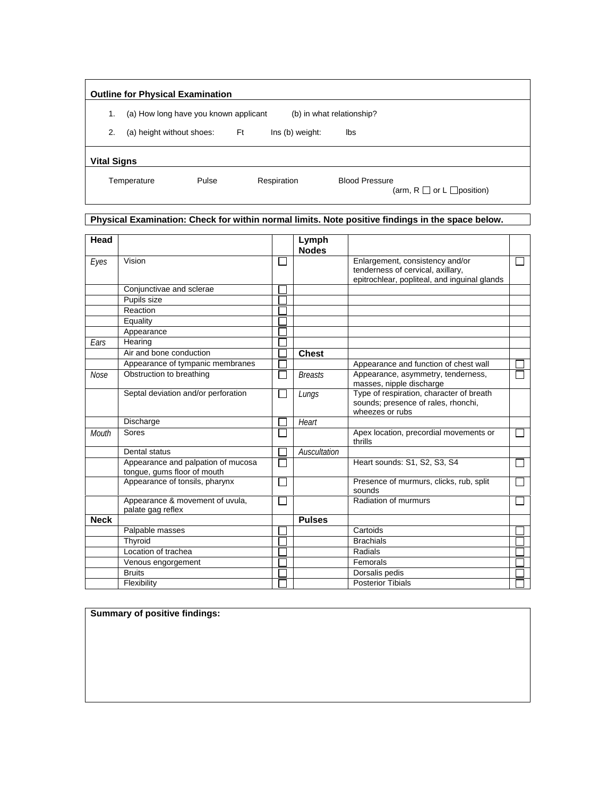|                    | <b>Outline for Physical Examination</b> |       |                 |                           |                                      |
|--------------------|-----------------------------------------|-------|-----------------|---------------------------|--------------------------------------|
| 1.                 | (a) How long have you known applicant   |       |                 | (b) in what relationship? |                                      |
| 2.                 | (a) height without shoes:               | Ft    | Ins (b) weight: | lbs                       |                                      |
| <b>Vital Signs</b> |                                         |       |                 |                           |                                      |
|                    | Temperature                             | Pulse | Respiration     | <b>Blood Pressure</b>     | (arm, $R \Box$ or $L \Box$ position) |

## **Physical Examination: Check for within normal limits. Note positive findings in the space below.**

| Head         |                                                                   | Lymph<br><b>Nodes</b> |                                                                                                                      |  |
|--------------|-------------------------------------------------------------------|-----------------------|----------------------------------------------------------------------------------------------------------------------|--|
| Eyes         | Vision                                                            |                       | Enlargement, consistency and/or<br>tenderness of cervical, axillary,<br>epitrochlear, popliteal, and inguinal glands |  |
|              | Conjunctivae and sclerae                                          |                       |                                                                                                                      |  |
|              | Pupils size                                                       |                       |                                                                                                                      |  |
|              | Reaction                                                          |                       |                                                                                                                      |  |
|              | Equality                                                          |                       |                                                                                                                      |  |
|              | Appearance                                                        |                       |                                                                                                                      |  |
| Ears         | Hearing                                                           |                       |                                                                                                                      |  |
|              | Air and bone conduction                                           | <b>Chest</b>          |                                                                                                                      |  |
|              | Appearance of tympanic membranes                                  |                       | Appearance and function of chest wall                                                                                |  |
| <b>Nose</b>  | Obstruction to breathing                                          | <b>Breasts</b>        | Appearance, asymmetry, tenderness,<br>masses, nipple discharge                                                       |  |
|              | Septal deviation and/or perforation                               | Lungs                 | Type of respiration, character of breath<br>sounds; presence of rales, rhonchi,<br>wheezes or rubs                   |  |
|              | Discharge                                                         | Heart                 |                                                                                                                      |  |
| <b>Mouth</b> | Sores                                                             |                       | Apex location, precordial movements or<br>thrills                                                                    |  |
|              | Dental status                                                     | Auscultation          |                                                                                                                      |  |
|              | Appearance and palpation of mucosa<br>tongue, gums floor of mouth |                       | Heart sounds: S1, S2, S3, S4                                                                                         |  |
|              | Appearance of tonsils, pharynx                                    |                       | Presence of murmurs, clicks, rub, split<br>sounds                                                                    |  |
|              | Appearance & movement of uvula,<br>palate gag reflex              |                       | Radiation of murmurs                                                                                                 |  |
| <b>Neck</b>  |                                                                   | <b>Pulses</b>         |                                                                                                                      |  |
|              | Palpable masses                                                   |                       | Cartoids                                                                                                             |  |
|              | Thyroid                                                           |                       | <b>Brachials</b>                                                                                                     |  |
|              | Location of trachea                                               |                       | Radials                                                                                                              |  |
|              | Venous engorgement                                                |                       | Femorals                                                                                                             |  |
|              | <b>Bruits</b>                                                     |                       | Dorsalis pedis                                                                                                       |  |
|              | Flexibility                                                       |                       | <b>Posterior Tibials</b>                                                                                             |  |

**Summary of positive findings:**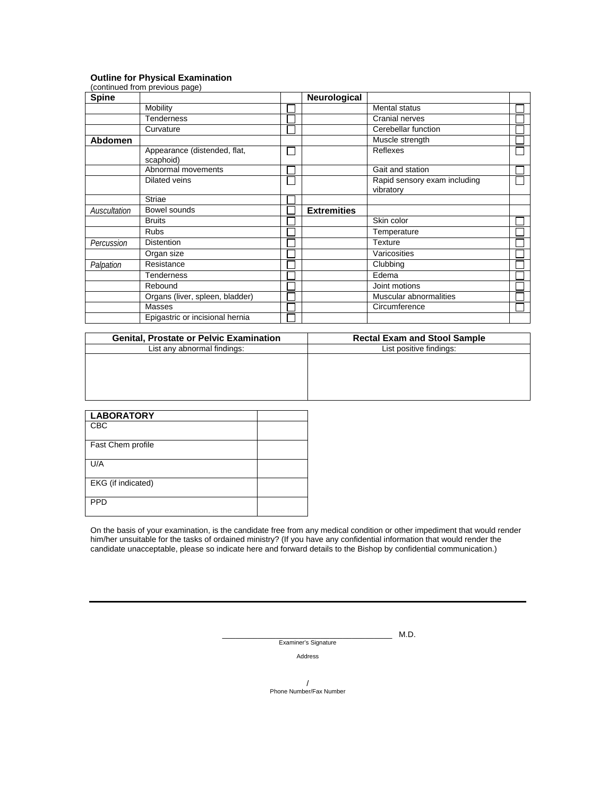## **Outline for Physical Examination**

|              | (continued from previous page)            |              |                    |                              |  |
|--------------|-------------------------------------------|--------------|--------------------|------------------------------|--|
| <b>Spine</b> |                                           |              | Neurological       |                              |  |
|              | Mobility                                  |              |                    | <b>Mental status</b>         |  |
|              | <b>Tenderness</b>                         |              |                    | Cranial nerves               |  |
|              | Curvature                                 |              |                    | Cerebellar function          |  |
| Abdomen      |                                           |              |                    | Muscle strength              |  |
|              | Appearance (distended, flat,<br>scaphoid) | $\mathbf{L}$ |                    | Reflexes                     |  |
|              | Abnormal movements                        |              |                    | Gait and station             |  |
|              | Dilated veins                             |              |                    | Rapid sensory exam including |  |
|              | <b>Striae</b>                             |              |                    | vibratory                    |  |
|              |                                           |              |                    |                              |  |
| Auscultation | Bowel sounds                              |              | <b>Extremities</b> |                              |  |
|              | <b>Bruits</b>                             |              |                    | Skin color                   |  |
|              | <b>Rubs</b>                               |              |                    | Temperature                  |  |
| Percussion   | <b>Distention</b>                         |              |                    | Texture                      |  |
|              | Organ size                                |              |                    | Varicosities                 |  |
| Palpation    | Resistance                                |              |                    | Clubbing                     |  |
|              | <b>Tenderness</b>                         |              |                    | Edema                        |  |
|              | Rebound                                   |              |                    | Joint motions                |  |
|              | Organs (liver, spleen, bladder)           |              |                    | Muscular abnormalities       |  |
|              | Masses                                    |              |                    | Circumference                |  |
|              | Epigastric or incisional hernia           |              |                    |                              |  |

| <b>Genital, Prostate or Pelvic Examination</b> | <b>Rectal Exam and Stool Sample</b> |
|------------------------------------------------|-------------------------------------|
| List any abnormal findings:                    | List positive findings:             |
|                                                |                                     |
|                                                |                                     |
|                                                |                                     |
|                                                |                                     |
|                                                |                                     |

| <b>LABORATORY</b>  |  |
|--------------------|--|
| CBC                |  |
| Fast Chem profile  |  |
| U/A                |  |
| EKG (if indicated) |  |
| <b>PPD</b>         |  |

On the basis of your examination, is the candidate free from any medical condition or other impediment that would render him/her unsuitable for the tasks of ordained ministry? (If you have any confidential information that would render the candidate unacceptable, please so indicate here and forward details to the Bishop by confidential communication.)

> \_\_\_\_\_\_\_\_\_\_\_\_\_\_\_\_\_\_\_\_\_\_\_\_\_\_\_\_\_\_\_\_\_\_\_\_\_\_ M.D. Examiner's Signature

> > Address

/ Phone Number/Fax Number